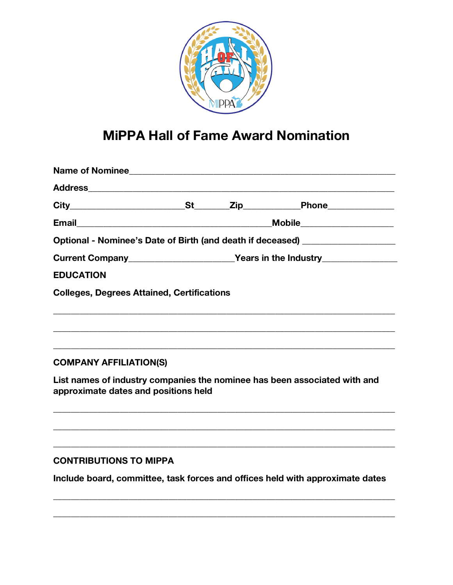

# **MiPPA Hall of Fame Award Nomination**

| Optional - Nominee's Date of Birth (and death if deceased) _____________________ |  |  |  |  |  |
|----------------------------------------------------------------------------------|--|--|--|--|--|
|                                                                                  |  |  |  |  |  |
| <b>EDUCATION</b>                                                                 |  |  |  |  |  |
| <b>Colleges, Degrees Attained, Certifications</b>                                |  |  |  |  |  |
|                                                                                  |  |  |  |  |  |
|                                                                                  |  |  |  |  |  |
|                                                                                  |  |  |  |  |  |
| <b>COMPANY AFFILIATION(S)</b>                                                    |  |  |  |  |  |

List names of industry companies the nominee has been associated with and approximate dates and positions held

## **CONTRIBUTIONS TO MIPPA**

Include board, committee, task forces and offices held with approximate dates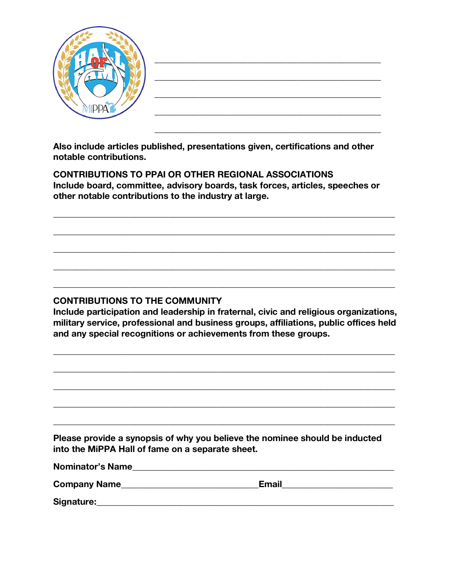|--|

**Also include articles published, presentations given, certifications and other notable contributions.**

**CONTRIBUTIONS TO PPAI OR OTHER REGIONAL ASSOCIATIONS Include board, committee, advisory boards, task forces, articles, speeches or other notable contributions to the industry at large.**

**\_\_\_\_\_\_\_\_\_\_\_\_\_\_\_\_\_\_\_\_\_\_\_\_\_\_\_\_\_\_\_\_\_\_\_\_\_\_\_\_\_\_\_\_\_\_\_\_\_\_\_\_\_\_\_\_\_\_\_\_\_\_\_\_\_\_\_\_\_\_\_\_\_\_\_\_\_**

**\_\_\_\_\_\_\_\_\_\_\_\_\_\_\_\_\_\_\_\_\_\_\_\_\_\_\_\_\_\_\_\_\_\_\_\_\_\_\_\_\_\_\_\_\_\_\_\_\_\_\_\_\_\_\_\_\_\_\_\_\_\_\_\_\_\_\_\_\_\_\_\_\_\_\_\_\_**

**\_\_\_\_\_\_\_\_\_\_\_\_\_\_\_\_\_\_\_\_\_\_\_\_\_\_\_\_\_\_\_\_\_\_\_\_\_\_\_\_\_\_\_\_\_\_\_\_\_\_\_\_\_\_\_\_\_\_\_\_\_\_\_\_\_\_\_\_\_\_\_\_\_\_\_\_\_**

**\_\_\_\_\_\_\_\_\_\_\_\_\_\_\_\_\_\_\_\_\_\_\_\_\_\_\_\_\_\_\_\_\_\_\_\_\_\_\_\_\_\_\_\_\_\_\_\_\_\_\_\_\_\_\_\_\_\_\_\_\_\_\_\_\_\_\_\_\_\_\_\_\_\_\_\_\_**

**\_\_\_\_\_\_\_\_\_\_\_\_\_\_\_\_\_\_\_\_\_\_\_\_\_\_\_\_\_\_\_\_\_\_\_\_\_\_\_\_\_\_\_\_\_\_\_\_\_\_\_\_\_\_\_\_\_\_\_\_\_\_\_\_\_\_\_\_\_\_\_\_\_\_\_\_\_**

## **CONTRIBUTIONS TO THE COMMUNITY**

**Include participation and leadership in fraternal, civic and religious organizations, military service, professional and business groups, affiliations, public offices held and any special recognitions or achievements from these groups.**

**\_\_\_\_\_\_\_\_\_\_\_\_\_\_\_\_\_\_\_\_\_\_\_\_\_\_\_\_\_\_\_\_\_\_\_\_\_\_\_\_\_\_\_\_\_\_\_\_\_\_\_\_\_\_\_\_\_\_\_\_\_\_\_\_\_\_\_\_\_\_\_\_\_\_\_\_\_**

**\_\_\_\_\_\_\_\_\_\_\_\_\_\_\_\_\_\_\_\_\_\_\_\_\_\_\_\_\_\_\_\_\_\_\_\_\_\_\_\_\_\_\_\_\_\_\_\_\_\_\_\_\_\_\_\_\_\_\_\_\_\_\_\_\_\_\_\_\_\_\_\_\_\_\_\_\_**

**\_\_\_\_\_\_\_\_\_\_\_\_\_\_\_\_\_\_\_\_\_\_\_\_\_\_\_\_\_\_\_\_\_\_\_\_\_\_\_\_\_\_\_\_\_\_\_\_\_\_\_\_\_\_\_\_\_\_\_\_\_\_\_\_\_\_\_\_\_\_\_\_\_\_\_\_\_**

**\_\_\_\_\_\_\_\_\_\_\_\_\_\_\_\_\_\_\_\_\_\_\_\_\_\_\_\_\_\_\_\_\_\_\_\_\_\_\_\_\_\_\_\_\_\_\_\_\_\_\_\_\_\_\_\_\_\_\_\_\_\_\_\_\_\_\_\_\_\_\_\_\_\_\_\_\_**

**\_\_\_\_\_\_\_\_\_\_\_\_\_\_\_\_\_\_\_\_\_\_\_\_\_\_\_\_\_\_\_\_\_\_\_\_\_\_\_\_\_\_\_\_\_\_\_\_\_\_\_\_\_\_\_\_\_\_\_\_\_\_\_\_\_\_\_\_\_\_\_\_\_\_\_\_\_**

**Please provide a synopsis of why you believe the nominee should be inducted into the MiPPA Hall of fame on a separate sheet.**

| <b>Nominator's Name</b> |              |
|-------------------------|--------------|
| <b>Company Name</b>     | <b>Email</b> |
| Signature:              |              |